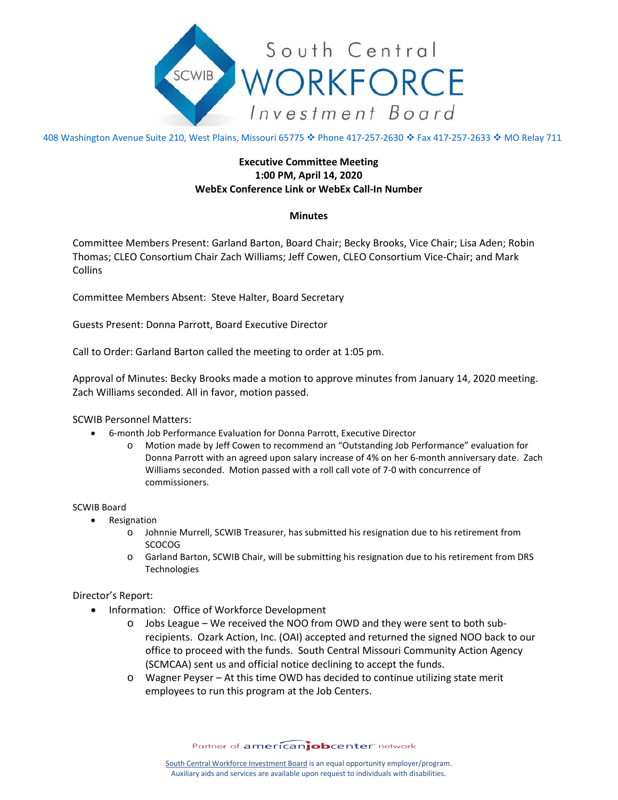

408 Washington Avenue Suite 210, West Plains, Missouri 65775 � Phone 417-257-2630 � Fax 417-257-2633 � MO Relay 711

# **Executive Committee Meeting 1:00 PM, April 14, 2020 WebEx Conference Link or WebEx Call-In Number**

## **Minutes**

Committee Members Present: Garland Barton, Board Chair; Becky Brooks, Vice Chair; Lisa Aden; Robin Thomas; CLEO Consortium Chair Zach Williams; Jeff Cowen, CLEO Consortium Vice-Chair; and Mark Collins

Committee Members Absent: Steve Halter, Board Secretary

Guests Present: Donna Parrott, Board Executive Director

Call to Order: Garland Barton called the meeting to order at 1:05 pm.

Approval of Minutes: Becky Brooks made a motion to approve minutes from January 14, 2020 meeting. Zach Williams seconded. All in favor, motion passed.

### SCWIB Personnel Matters:

- 6-month Job Performance Evaluation for Donna Parrott, Executive Director
	- o Motion made by Jeff Cowen to recommend an "Outstanding Job Performance" evaluation for Donna Parrott with an agreed upon salary increase of 4% on her 6-month anniversary date. Zach Williams seconded. Motion passed with a roll call vote of 7-0 with concurrence of commissioners.

### SCWIB Board

- Resignation
	- o Johnnie Murrell, SCWIB Treasurer, has submitted his resignation due to his retirement from SCOCOG
	- o Garland Barton, SCWIB Chair, will be submitting his resignation due to his retirement from DRS Technologies

### Director's Report:

- Information: Office of Workforce Development
	- o Jobs League We received the NOO from OWD and they were sent to both subrecipients. Ozark Action, Inc. (OAI) accepted and returned the signed NOO back to our office to proceed with the funds. South Central Missouri Community Action Agency (SCMCAA) sent us and official notice declining to accept the funds.
	- o Wagner Peyser At this time OWD has decided to continue utilizing state merit employees to run this program at the Job Centers.

Partner of americanjobcenter network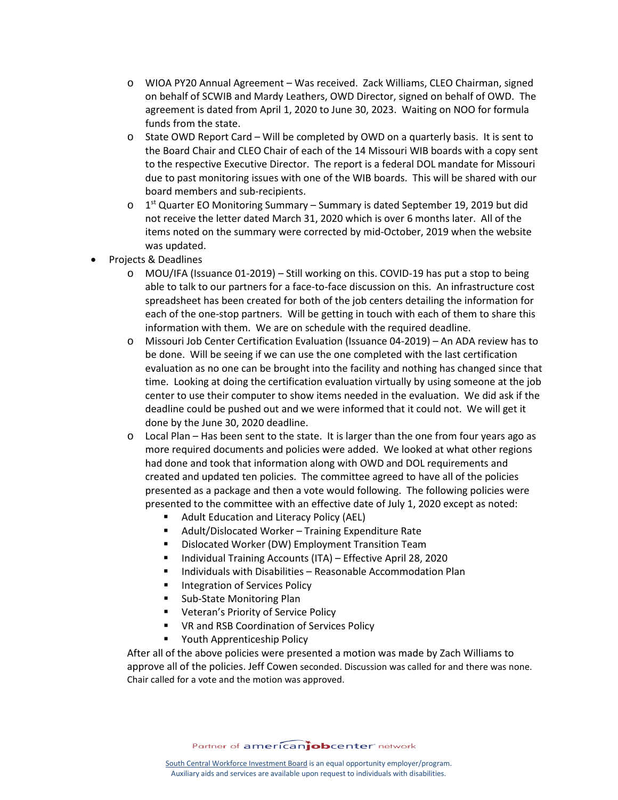- o WIOA PY20 Annual Agreement Was received. Zack Williams, CLEO Chairman, signed on behalf of SCWIB and Mardy Leathers, OWD Director, signed on behalf of OWD. The agreement is dated from April 1, 2020 to June 30, 2023. Waiting on NOO for formula funds from the state.
- o State OWD Report Card Will be completed by OWD on a quarterly basis. It is sent to the Board Chair and CLEO Chair of each of the 14 Missouri WIB boards with a copy sent to the respective Executive Director. The report is a federal DOL mandate for Missouri due to past monitoring issues with one of the WIB boards. This will be shared with our board members and sub-recipients.
- $\circ$  1<sup>st</sup> Quarter EO Monitoring Summary Summary is dated September 19, 2019 but did not receive the letter dated March 31, 2020 which is over 6 months later. All of the items noted on the summary were corrected by mid-October, 2019 when the website was updated.
- Projects & Deadlines
	- o MOU/IFA (Issuance 01-2019) Still working on this. COVID-19 has put a stop to being able to talk to our partners for a face-to-face discussion on this. An infrastructure cost spreadsheet has been created for both of the job centers detailing the information for each of the one-stop partners. Will be getting in touch with each of them to share this information with them. We are on schedule with the required deadline.
	- o Missouri Job Center Certification Evaluation (Issuance 04-2019) An ADA review has to be done. Will be seeing if we can use the one completed with the last certification evaluation as no one can be brought into the facility and nothing has changed since that time. Looking at doing the certification evaluation virtually by using someone at the job center to use their computer to show items needed in the evaluation. We did ask if the deadline could be pushed out and we were informed that it could not. We will get it done by the June 30, 2020 deadline.
	- o Local Plan Has been sent to the state. It is larger than the one from four years ago as more required documents and policies were added. We looked at what other regions had done and took that information along with OWD and DOL requirements and created and updated ten policies. The committee agreed to have all of the policies presented as a package and then a vote would following. The following policies were presented to the committee with an effective date of July 1, 2020 except as noted:
		- Adult Education and Literacy Policy (AEL)
		- Adult/Dislocated Worker Training Expenditure Rate
		- **•** Dislocated Worker (DW) Employment Transition Team
		- Individual Training Accounts (ITA) Effective April 28, 2020
		- Individuals with Disabilities Reasonable Accommodation Plan
		- **Integration of Services Policy**
		- **Sub-State Monitoring Plan**
		- **UPIED:** Veteran's Priority of Service Policy
		- **VR and RSB Coordination of Services Policy**
		- **•** Youth Apprenticeship Policy

After all of the above policies were presented a motion was made by Zach Williams to approve all of the policies. Jeff Cowen seconded. Discussion was called for and there was none. Chair called for a vote and the motion was approved.

Partner of americanjobcenter network